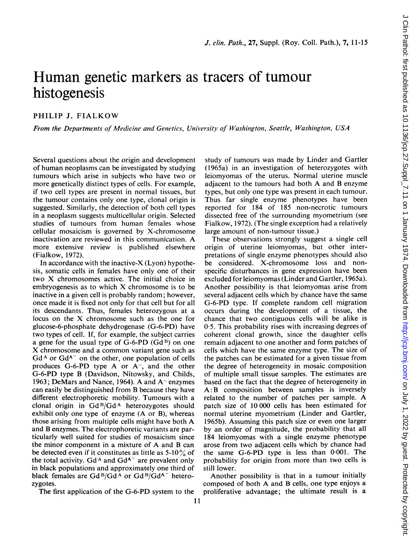## Human genetic markers as tracers of tumour histogenesis

## PHILIP J. FIALKOW

From the Departments of Medicine and Geneties, University of Washington, Seattle, Washington, USA

Several questions about the origin and development of human neoplasms can be investigated by studying tumours which arise in subjects who have two or more genetically distinct types of cells. For example, if two cell types are present in normal tissues, but the tumour contains only one type, clonal origin is suggested. Similarly, the detection of both cell types in a neoplasm suggests multicellular origin. Selected studies of tumours from human females whose cellular mosaicism is governed by X-chromosome inactivation are reviewed in this communication. A more extensive review is published elsewhere (Fialkow, 1972).

In accordance with the inactive- $X(L$ yon) hypothesis, somatic cells in females have only one of their two X chromosomes active. The initial choice in embryogenesis as to which X chromosome is to be inactive in a given cell is probably random; however, once made it is fixed not only for that cell but for all its descendants. Thus, females heterozygous at a locus on the X chromosome such as the one for glucose-6-phosphate dehydrogenase (G-6-PD) have two types of cell. If, for example, the subject carries a gene for the usual type of  $G$ -6-PD  $(Gd^B)$  on one X chromosome and <sup>a</sup> common variant gene such as  $Gd^A$  or  $Gd^{A^-}$  on the other, one population of cells produces G-6-PD type A or  $A^-$ , and the other G-6-PD type B (Davidson, Nitowsky, and Childs, 1963; DeMars and Nance, 1964). A and  $A^-$  enzymes can easily be distinguished from B because they have different electrophoretic mobility. Tumours with a clonal origin in  $Gd^{B}/Gd^{A}$  heterozygotes should exhibit only one type of enzyme (A or B), whereas those arising from multiple cells might have both A and B enzymes. The electrophoretic variants are particularly well suited for studies of mosaicism since the minor component in <sup>a</sup> mixture of A and B can be detected even if it constitutes as little as  $5-10\%$  of the total activity.  $Gd^A$  and  $Gd^{A^-}$  are prevalent only in black populations and approximately one third of black females are  $Gd^{B}/Gd^{A}$  or  $Gd^{B}/Gd^{A^{-}}$  heterozygotes.

The first application of the G-6-PD system to the

study of tumours was made by Linder and Gartler (1965a) in an investigation of heterozygotes with leiomyomas of the uterus. Normal uterine muscle adjacent to the tumours had both A and B enzyme types, but only one type was present in each tumour. Thus far single enzyme phenotypes have been reported for 184 of 185 non-necrotic tumours dissected free of the surrounding myometrium (see Fialkow, 1972). (The single exception had a relatively large amount of non-tumour tissue.)

These observations strongly suggest a single cell origin of uterine leiomyomas, but other interpretations of single enzyme phenotypes should also be considered. X-chromosome loss and nonspecific disturbances in gene expression have been excluded for leiomyomas (Linder and Gartler, 1965a). Another possibility is that leiomyomas arise from several adjacent cells which by chance have the same G-6-PD type. If complete random cell migration occurs during the development of a tissue, the chance that two contiguous cells will be alike is 0 5. This probability rises with increasing degrees of coherent clonal growth, since the daughter cells remain adjacent to one another and form patches of cells which have the same enzyme type. The size of the patches can be estimated for a given tissue from the degree of heterogeneity in mosaic composition of multiple small tissue samples. The estimates are based on the fact that the degree of heterogeneity in A: B composition between samples is inversely related to the number of patches per sample. A patch size of 10 000 cells has been estimated for normal uterine myometrium (Linder and Gartler, 1965b). Assuming this patch size or even one larger by an order of magnitude, the probability that all 184 leiomyomas with a single enzyme phenotype arose from two adjacent cells which by chance had the same G-6-PD type is less than 0-001. The probability for origin from more than two cells is still lower.

Another possibility is that in a tumour initially composed of both A and B cells, one type enjoys <sup>a</sup> proliferative advantage; the ultimate result is a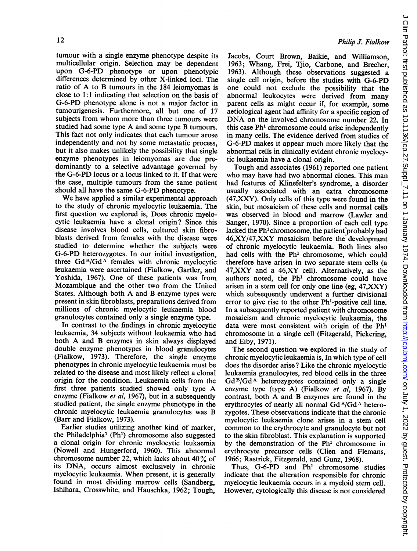tumour with a single enzyme phenotype despite its multicellular origin. Selection may be dependent upon G-6-PD phenotype or upon phenotypic differences determined by other X-linked loci. The ratio of A to B tumours in the <sup>184</sup> leiomyomas is close to 1:1 indicating that selection on the basis of G-6-PD phenotype alone is not a major factor in tumourigenesis. Furthermore, all but one of 17 subjects from whom more than three tumours were studied had some type A and some type B tumours. This fact not only indicates that each tumour arose independently and not by some metastatic process, but it also makes unlikely the possibility that single enzyme phenotypes in leiomyomas are due predominantly to a selective advantage governed by the G-6-PD locus or a locus linked to it. If that were the case, multiple tumours from the same patient should all have the same G-6-PD phenotype.

We have applied <sup>a</sup> similar experimental approach to the study of chronic myelocytic leukaemia. The first question we explored is, Does chronic myelocytic leukaemia have a clonal origin? Since this disease involves blood cells, cultured skin fibroblasts derived from females with the disease were studied to determine whether the subjects were G-6-PD heterozygotes. In our initial investigation, three Gd<sup>B</sup>/Gd<sup>A</sup> females with chronic myelocytic leukaemia were ascertained (Fialkow, Gartler, and Yoshida, 1967). One of these patients was from Mozambique and the other two from the United States. Although both A and B enzyme types were present in skin fibroblasts, preparations derived from millions of chronic myelocytic leukaemia blood granulocytes contained only a single enzyme type.

In contrast to the findings in chronic myelocytic leukaemia, 34 subjects without leukaemia who had both A and B enzymes in skin always displayed double enzyme phenotypes in blood granulocytes (Fialkow, 1973). Therefore, the single enzyme phenotypes in chronic myelocytic leukaemia must be related to the disease and most likely reflect a clonal origin for the condition. Leukaemia cells from the first three patients studied showed only type A enzyme (Fialkow et al, 1967), but in a subsequently studied patient, the single enzyme phenotype in the chronic myelocytic leukaemia granulocytes was B (Barr and Fialkow, 1973).

Earlier studies utilizing another kind of marker, the Philadelphia' (Ph') chromosome also suggested a clonal origin for chronic myelocytic leukaemia (Nowell and Hungerford, 1960). This abnormal chromosome number 22, which lacks about  $40\%$  of its DNA, occurs almost exclusively in chronic myelocytic leukaemia. When present, it is generally found in most dividing marrow cells (Sandberg, Ishihara, Crosswhite, and Hauschka, 1962; Tough,

 $\epsilon$ 

Jacobs, Court Brown, Baikie, and Williamson, 1963; Whang, Frei, Tjio, Carbone, and Brecher, 1963). Although these observations suggested a single cell origin, before the studies with G-6-PD one could not exclude the possibility that the abnormal leukocytes were derived from many parent cells as might occur if, for example, some aetiological agent had affinity for a specific region of DNA on the involved chromosome number 22. In this case Ph' chromosome could arise independently in many cells. The evidence derived from studies of G-6-PD makes it appear much more likely that the abnormal cells in clinically evident chronic myelocytic leukaemia have a clonal origin.

Tough and associates (1961) reported one patient who may have had two abnormal clones. This man had features of Klinefelter's syndrome, a disorder usually associated with an extra chromosome (47,XXY). Only cells of this type were found in the skin, but mosaicism of these cells and normal cells was observed in blood and marrow (Lawler and Sanger, 1970). Since a proportion of each cell type lacked the Ph'chromosome, the patient'probably had 46,XY/47,XXY mosaicism before the development of chronic myelocytic leukaemia. Both lines also had cells with the Ph' chromosome, which could therefore have arisen in two separate stem cells (a 47,XXY and a 46,XY cell). Alternatively, as the authors noted, the Ph' chromosome could have arisen in a stem cell for only one line (eg, 47,XXY) which subsequently underwent a further divisional error to give rise to the other Ph'-positive cell line. In a subsequently reported patient with chromosome mosaicism and chronic myelocytic leukaemia, the data were most consistent with origin of the Ph' chromosome in a single cell (Fitzgerald, Pickering, and Eiby, 1971).

The second question we explored in the study of chronic myelocytic leukaemia is, In which type of cell does the disorder arise? Like the chronic myelocytic leukaemia granulocytes, red blood cells in the three  $Gd^{B}/Gd^{A}$  heterozygotes contained only a single enzyme type (type A) (Fialkow *et al*, 1967). By contrast, both A and B enzymes are found in the erythrocytes of nearly all normal Gd<sup>B</sup>/Gd<sup>A</sup> heterozygotes. These observations indicate that the chronic myelocytic leukaemia clone arises in a stem cell common to the erythrocyte and granulocyte but not to the skin fibroblast. This explanation is supported by the demonstration of the Ph' chromosome in erythrocyte precursor cells (Clien and Flemans, 1966; Rastrick, Fitzgerald, and Gunz, 1968).

Thus, G-6-PD and Ph' chromosome studies indicate that the alteration responsible for chronic myelocytic leukaemia occurs in a myeloid stem cell. However, cytologically this disease is not considered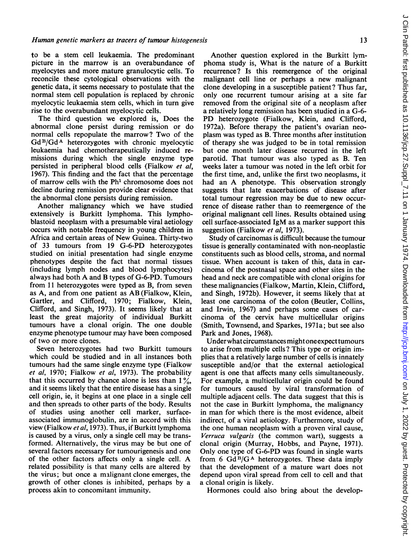to be a stem cell leukaemia. The predominant picture in the marrow is an overabundance of myelocytes and more mature granulocytic cells. To reconcile these cytological observations with the genetic data, it seems necessary to postulate that the normal stem cell population is replaced by chronic myelocytic leukaemia stem cells, which in turn give rise to the overabundant myelocytic cells.

The third question we explored is, Does the abnormal clone persist during remission or do normal cells repopulate the marrow? Two of the  $Gd^{B}/Gd^{A}$  heterozygotes with chronic myelocytic leukaemia had chemotherapeutically induced remissions during which the single enzyme type persisted in peripheral blood cells (Fialkow et al, 1967). This finding and the fact that the percentage of marrow cells with the Ph' chromosome does not decline during remission provide clear evidence that the abnormal clone persists during remission.

Another malignancy which we have studied extensively is Burkitt lymphoma. This lymphoblastoid neoplasm with a presumable viral aetiology occurs with notable frequency in young children in Africa and certain areas of New Guinea. Thirty-two of 33 tumours from 19 G-6-PD heterozygotes studied on initial presentation had single enzyme phenotypes despite the fact that normal tissues (including lymph nodes and blood lymphocytes) always had both A and B types of G-6-PD. Tumours from 11 heterozygotes were typed as B, from seven as A, and from one patient as AB (Fialkow, Klein, Gartler, and Clifford, 1970; Fialkow, Klein, Clifford, and Singh, 1973). It seems likely that at least the great majority of individual Burkitt tumours have a clonal origin. The one double enzyme phenotype tumour may have been composed of two or more clones.

Seven heterozygotes had two Burkitt tumours which could be studied and in all instances both tumours had the same single enzyme type (Fialkow et al, 1970; Fialkow et al, 1973). The probability that this occurred by chance alone is less than  $1\%$ , and it seems likely that the entire disease has a single cell origin, ie, it begins at one place in a single cell and then spreads to other parts of the body. Results of studies using another cell marker, surfaceassociated immunoglobulin, are in accord with this view (Fialkow et al, 1973). Thus, if Burkitt lymphoma is caused by a virus, only a single cell may be transformed. Alternatively, the virus may be but one of several factors necessary for tumourigenesis and one of the other factors affects only <sup>a</sup> single cell. A related possibility is that many cells are altered by the virus; but once a malignant clone emerges, the growth of other clones is inhibited, perhaps by a process akin to concomitant immunity.

Another question explored in the Burkitt lymphoma study is, What is the nature of a Burkitt recurrence? Is this reemergence of the original malignant cell line or perhaps a new malignant clone developing in a susceptible patient? Thus far, only one recurrent tumour arising at a site far removed from the original site of a neoplasm after a relatively long remission has been studied in a G-6- PD heterozygote (Fialkow, Klein, and Clifford, 1972a). Before therapy the patient's ovarian neoplasm was typed as B. Three months after institution of therapy she was judged to be in total remission but one month later disease recurred in the left parotid. That tumour was also typed as B. Ten weeks later a tumour was noted in the left orbit for the first time, and, unlike the first two neoplasms, it had an A phenotype. This observation strongly suggests that late exacerbations of disease after total tumour regression may be due to new occurrence of disease rather than to reemergence of the original malignant cell lines. Results obtained using cell surface-associated IgM as a marker support this suggestion (Fialkow et al. 1973).

Study of carcinomas is difficult because the tumour tissue is generally contaminated with non-neoplastic constituents such as blood cells, stroma, and normal tissue. When account is taken of this, data in carcinoma of the postnasal space and other sites in the head and neck are compatible with clonal origins for these malignancies (Fialkow, Martin, Klein, Clifford, and Singh, 1972b). However, it seems likely that at least one carcinoma of the colon (Beutler, Collins, and Irwin, 1967) and perhaps some cases of carcinoma of the cervix have multicellular origins (Smith, Townsend, and Sparkes, 1971a; but see also Park and Jones, 1968).

Underwhatcircumstances might oneexpect tumours to arise from multiple cells? This type or origin implies that a relatively large number of cells is innately susceptible and/or that the external aetiological agent is one that affects many cells simultaneously. For example, a multicellular origin could be found for tumours caused by viral transformation of multiple adjacent cells. The data suggest that this is not the case in Burkitt lymphoma, the malignancy in man for which there is the most evidence, albeit indirect, of a viral aetiology. Furthermore, study of the one human neoplasm with a proven viral cause, Verruca vulgaris (the common wart), suggests a clonal origin (Murray, Hobbs, and Payne, 1971). Only one type of G-6-PD was found in single warts from 6 Gd<sup>B</sup>/G<sup>A</sup> heterozygotes. These data imply that the development of a mature wart does not depend upon viral spread from cell to cell and that a clonal origin is likely.

Hormones could also bring about the develop-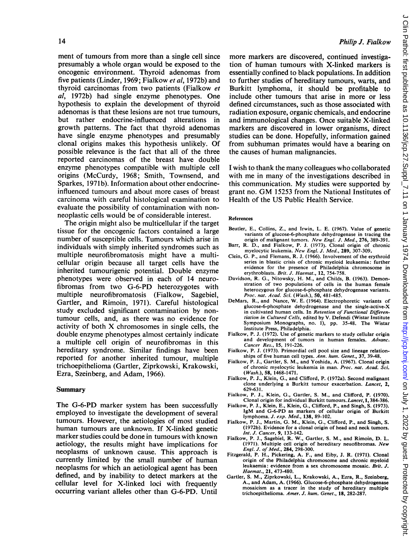ment of tumours from more than a single cell since presumably a whole organ would be exposed to the oncogenic environment. Thyroid adenomas from five patients (Linder, 1969; Fialkow et al, 1972b) and thyroid carcinomas from two patients (Fialkow et al, 1972b) had single enzyme phenotypes. One hypothesis to explain the development of thyroid adenomas is that these lesions are not true tumours, but rather endocrine-influenced alterations in growth patterns. The fact that thyroid adenomas have single enzyme phenotypes and presumably clonal origins makes this hypothesis unlikely. Of possible relevance is the fact that all of the three reported carcinomas of the breast have double enzyme phenotypes compatible with multiple cell origins (McCurdy, 1968; Smith, Townsend, and Sparkes, 1971b). Information about other endocrineinfluenced tumours and about more cases of breast carcinoma with careful histological examination to evaluate the possibility of contamination with nonneoplastic cells would be of considerable interest.

The origin might also be multicellular if the target tissue for the oncogenic factors contained a large number of susceptible cells. Tumours which arise in individuals with simply inherited syndromes such as multiple neurofibromatosis might have a multicellular origin because all target cells have the inherited tumourigenic potential. Double enzyme phenotypes were observed in each of 14 neurofibromas from two G-6-PD heterozygotes with multiple neurofibromatosis (Fialkow, Sagebiel, Gartler, and Rimoin, 1971). Careful histological study excluded significant contamination by nontumour cells, and, as there was no evidence for activity of both X chromosomes in single cells, the double enzyme phenotypes almost certainly indicate a multiple cell origin of neurofibromas in this hereditary syndrome. Similar findings have been reported for another inherited tumour, multiple trichoepithelioma (Gartler, Ziprkowski, Krakowski, Ezra, Szeinberg, and Adam, 1966).

## Summary

The G-6-PD marker system has been successfully employed to investigate the development of several tumours. However, the aetiologies of most studied human tumours are unknown. If X-linked genetic marker studies could be done in tumours with known aetiology, the results might have implications for neoplasms of unknown cause. This approach is currently limited by the small number of human neoplasms for which an aetiological agent has been defined, and by inability to detect markers at the cellular level for X-linked loci with frequently occurring variant alleles other than G-6-PD. Until

more markers are discovered, continued investigation of human tumours with X-linked markers is essentially confined to black populations. In addition to further studies of hereditary tumours, warts, and Burkitt lymphoma, it should be profitable to include other tumours that arise in more or less defined circumstances, such as those associated with radiation exposure, organic chemicals, and endocrine and immunological changes. Once suitable X-linked markers are discovered in lower organisms, direct studies can be done. Hopefully, information gained from subhuman primates would have a bearing on the causes of human malignancies.

<sup>I</sup> wish to thank the many colleagues who collaborated with me in many of the investigations described in this communication. My studies were supported by grant no. GM <sup>15253</sup> from the National Institutes of Health of the US Public Health Service.

## References

- Beutler, E., Collins, Z., and Irwin, L. E. (1967). Value of genetic variants of glucose-6-phosphate dehydrogenase in tracing the origin of malignant tumors. New Engl. J. Med., 276, 389-391. Barr, R. D., and Fialkow, P. J. (1973). Clonal origin of chronic
- myelocytic leukemia. New Engl. J. Med., 289, 307-309.
- Clein, G. P., and Flemans, R. J. (1966). Involvement of the erythroid series in blastic crisis of chronic myeloid leukaemia: further evidence for the presence of Philadelphia chromosome in erythroblasts. Brit. J. Haemat., 12, 754-758.
- Davidson, R. G., Nitowsky, H. M., and Childs, B. (1963). Demonstration of two populations of cells in the human female heterozygous for glucose-6-phosphate dehydrogenase variants. Proc. nat. Acad. Sci. (Wash.), 50, 481-485.
- DeMars, R., and Nance, W. E. (1964). Electrophoretic variants of glucose-6-phosphate dehydrogenase and the single-active-X in cultivated human cells. In Retention of Functional Differentiation in Cultured Cells, edited by V. Defendi (Wistar Institute Symposium Monographs, no. 1), pp. 35-48. The Wistar Institute Press, Philadelphia.
- Fialkow, P. J. (1972). Use of genetic markers to study cellular origin and development of tumors in human females. Advanc. Cancer Res., 15, 191-226.
- Fialkow, P. J. (1973). Primordial cell pool size and lineage relationships of five human cell types. Ann. hum. Genet., 37, 39-48.
- Fialkow, P. J., Gartler, S. M., and Yoshida, A. (1967). Clonal origin of chronic myelocytic leukemia in man. Proc. nat. Acad. Sci. (Wash.), 58, 1468-1471.
- Fialkow, P. J., Klein, G., and Clifford, P. (1972a). Second malignant clone underlying a Burkitt tumour exacerbation. Lancet, 2, 629-631.
- Fialkow, P. J., Klein, G., Gartler, S. M., and Clifford, P. (1970). Clonal origin for individual Burkitt tumours.Lancet, 1,384-386.
- Fialkow, P. J., Klein, E., Klein, G., Clifford, P., and Singh, S. (1973). IgM and G-6-PD as markers of cellular origin of Burkitt lymphoma. J. exp. Med., 138, 89-102.
- Fialkow, P. J., Martin, G. M., Klein, G., Clifford, P., and Singh, S. (1972b). Evidence for a clonal origin of head and neck tumors. Int. J. Cancer, 9, 133-142.
- Fialkow, P. J., Sagebiel, R. W., Gartler, S. M., and Rimoin, D. L. (1971). Multiple cell origin of hereditary neuofibromas. New Engl. J. of Med., 284, 298-300.
- Fitzgerald, P. H., Pickering, A. F., and Eiby, J. R. (1971). Clonal origin of the Philadelphia chromosome and chronic myeloid leukaemia: evidence from a sex chromosome mosaic. Brit. J. Haemat., 21, 473-480.
- Gartler, S. M., Ziprkowski, L., Krakowski, A., Ezra, R., Szeinberg, A., and Adam, A. (1966). Glucose-6-phosphate dehydrogenase mosaicism as a tracer in the study of hereditary multiple trichoepithelioma. Amer. J. hum. Genet., 18, 282-287.